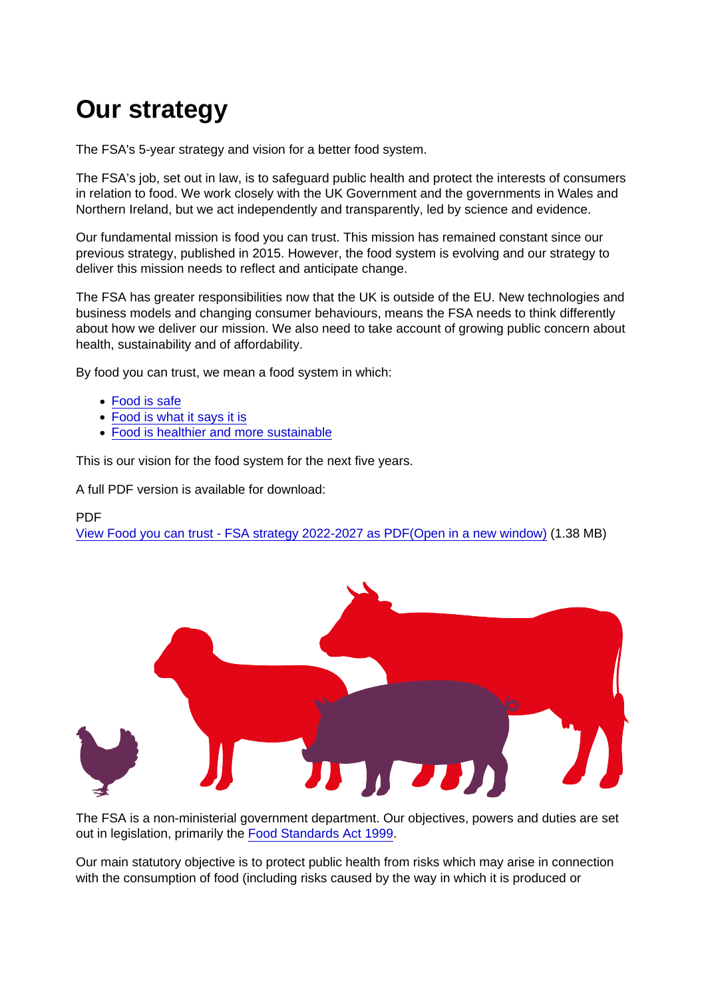# Our strategy

The FSA's 5-year strategy and vision for a better food system.

The FSA's job, set out in law, is to safeguard public health and protect the interests of consumers in relation to food. We work closely with the UK Government and the governments in Wales and Northern Ireland, but we act independently and transparently, led by science and evidence.

Our fundamental mission is food you can trust. This mission has remained constant since our previous strategy, published in 2015. However, the food system is evolving and our strategy to deliver this mission needs to reflect and anticipate change.

The FSA has greater responsibilities now that the UK is outside of the EU. New technologies and business models and changing consumer behaviours, means the FSA needs to think differently about how we deliver our mission. We also need to take account of growing public concern about health, sustainability and of affordability.

By food you can trust, we mean a food system in which:

- [Food is safe](https://www.food.gov.uk/about-us/our-strategy#food-is-safe)
- [Food is what it says it is](https://www.food.gov.uk/about-us/our-strategy#food-is-what-it-says-it-is)
- [Food is healthier and more sustainable](https://www.food.gov.uk/about-us/our-strategy#food-is-healthier-and-more-sustainable)

This is our vision for the food system for the next five years.

A full PDF version is available for download:

PDF

[View Food you can trust - FSA strategy 2022-2027 as PDF\(Open in a new window\)](https://www.food.gov.uk/sites/default/files/media/document/Delivering a better food system - FSA strategy 2022–2027_0.pdf) (1.38 MB)

The FSA is a non-ministerial government department. Our objectives, powers and duties are set out in legislation, primarily the [Food Standards Act 1999.](https://www.legislation.gov.uk/id/ukpga/1999/28)

Our main statutory objective is to protect public health from risks which may arise in connection with the consumption of food (including risks caused by the way in which it is produced or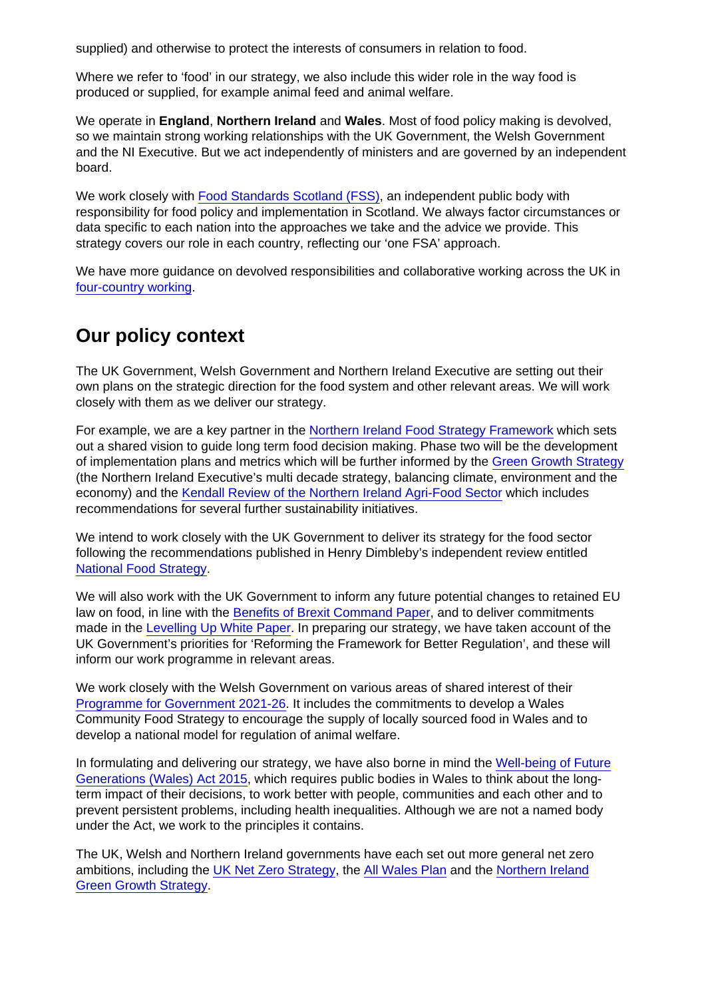supplied) and otherwise to protect the interests of consumers in relation to food.

Where we refer to 'food' in our strategy, we also include this wider role in the way food is produced or supplied, for example animal feed and animal welfare.

We operate in England, Northern Ireland and Wales. Most of food policy making is devolved, so we maintain strong working relationships with the UK Government, the Welsh Government and the NI Executive. But we act independently of ministers and are governed by an independent board.

We work closely with [Food Standards Scotland \(FSS\)](https://www.foodstandards.gov.scot/), an independent public body with responsibility for food policy and implementation in Scotland. We always factor circumstances or data specific to each nation into the approaches we take and the advice we provide. This strategy covers our role in each country, reflecting our 'one FSA' approach.

We have more guidance on devolved responsibilities and collaborative working across the UK in [four-country working.](https://www.food.gov.uk/about-us/four-country-working)

### Our policy context

The UK Government, Welsh Government and Northern Ireland Executive are setting out their own plans on the strategic direction for the food system and other relevant areas. We will work closely with them as we deliver our strategy.

For example, we are a key partner in the [Northern Ireland Food Strategy Framework](https://www.daera-ni.gov.uk/consultations/northern-ireland-food-strategy-framework) which sets out a shared vision to guide long term food decision making. Phase two will be the development of implementation plans and metrics which will be further informed by the [Green Growth Strategy](https://www.daera-ni.gov.uk/articles/green-growth-strategy-northern-ireland-balancing-our-climate-environment-and-economy) (the Northern Ireland Executive's multi decade strategy, balancing climate, environment and the economy) and the [Kendall Review of the Northern Ireland Agri-Food Sector](https://www.daera-ni.gov.uk/articles/independent-strategic-review-ni-agri-food) which includes recommendations for several further sustainability initiatives.

We intend to work closely with the UK Government to deliver its strategy for the food sector following the recommendations published in Henry Dimbleby's independent review entitled [National Food Strategy](https://www.gov.uk/government/publications/national-food-strategy-for-england).

We will also work with the UK Government to inform any future potential changes to retained EU law on food, in line with the [Benefits of Brexit Command Paper,](https://www.gov.uk/government/publications/the-benefits-of-brexit) and to deliver commitments made in the [Levelling Up White Paper](https://www.gov.uk/government/publications/levelling-up-the-united-kingdom). In preparing our strategy, we have taken account of the UK Government's priorities for 'Reforming the Framework for Better Regulation', and these will inform our work programme in relevant areas.

We work closely with the Welsh Government on various areas of shared interest of their [Programme for Government 2021-26](https://gov.wales/programme-government). It includes the commitments to develop a Wales Community Food Strategy to encourage the supply of locally sourced food in Wales and to develop a national model for regulation of animal welfare.

In formulating and delivering our strategy, we have also borne in mind the [Well-being of Future](https://www.futuregenerations.wales/about-us/future-generations-act/) [Generations \(Wales\) Act 2015,](https://www.futuregenerations.wales/about-us/future-generations-act/) which requires public bodies in Wales to think about the longterm impact of their decisions, to work better with people, communities and each other and to prevent persistent problems, including health inequalities. Although we are not a named body under the Act, we work to the principles it contains.

The UK, Welsh and Northern Ireland governments have each set out more general net zero ambitions, including the [UK Net Zero Strategy](https://www.gov.uk/government/publications/net-zero-strategy), the [All Wales Plan](https://gov.wales/working-together-reach-net-zero-all-wales-plan) and the [Northern Ireland](https://www.daera-ni.gov.uk/articles/green-growth-strategy-northern-ireland-balancing-our-climate-environment-and-economy) [Green Growth Strategy](https://www.daera-ni.gov.uk/articles/green-growth-strategy-northern-ireland-balancing-our-climate-environment-and-economy).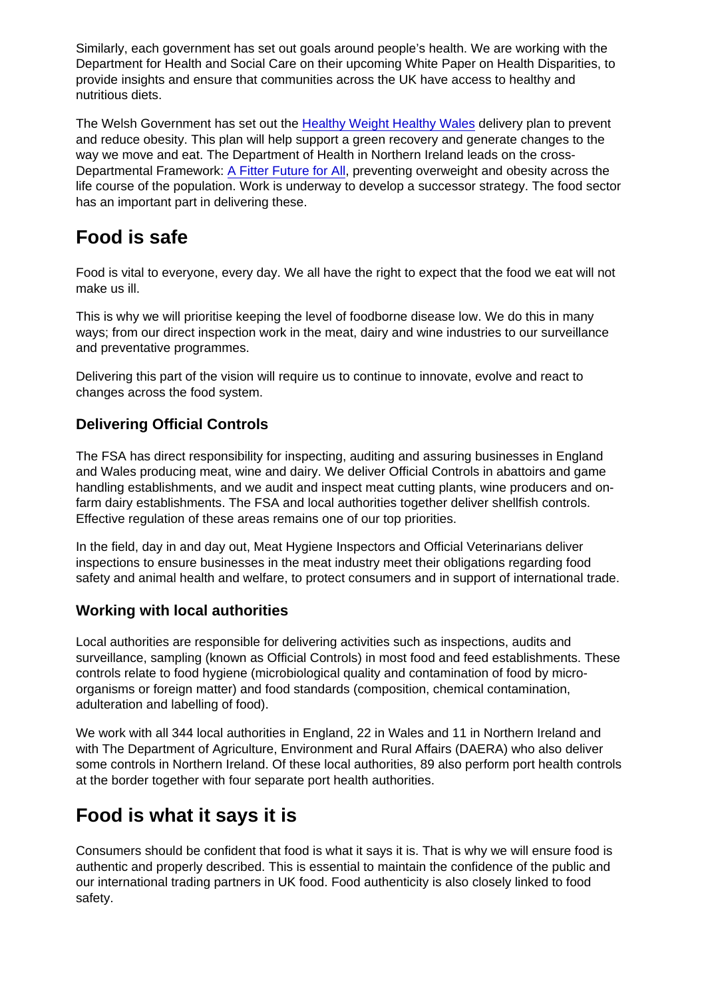Similarly, each government has set out goals around people's health. We are working with the Department for Health and Social Care on their upcoming White Paper on Health Disparities, to provide insights and ensure that communities across the UK have access to healthy and nutritious diets.

The Welsh Government has set out the [Healthy Weight Healthy Wales](https://gov.wales/healthy-weight-strategy-healthy-weight-healthy-wales) delivery plan to prevent and reduce obesity. This plan will help support a green recovery and generate changes to the way we move and eat. The Department of Health in Northern Ireland leads on the cross-Departmental Framework: [A Fitter Future for All](https://www.health-ni.gov.uk/sites/default/files/publications/health/fitter-future-sto.pdf), preventing overweight and obesity across the life course of the population. Work is underway to develop a successor strategy. The food sector has an important part in delivering these.

# Food is safe

Food is vital to everyone, every day. We all have the right to expect that the food we eat will not make us ill.

This is why we will prioritise keeping the level of foodborne disease low. We do this in many ways; from our direct inspection work in the meat, dairy and wine industries to our surveillance and preventative programmes.

Delivering this part of the vision will require us to continue to innovate, evolve and react to changes across the food system.

#### Delivering Official Controls

The FSA has direct responsibility for inspecting, auditing and assuring businesses in England and Wales producing meat, wine and dairy. We deliver Official Controls in abattoirs and game handling establishments, and we audit and inspect meat cutting plants, wine producers and onfarm dairy establishments. The FSA and local authorities together deliver shellfish controls. Effective regulation of these areas remains one of our top priorities.

In the field, day in and day out, Meat Hygiene Inspectors and Official Veterinarians deliver inspections to ensure businesses in the meat industry meet their obligations regarding food safety and animal health and welfare, to protect consumers and in support of international trade.

#### Working with local authorities

Local authorities are responsible for delivering activities such as inspections, audits and surveillance, sampling (known as Official Controls) in most food and feed establishments. These controls relate to food hygiene (microbiological quality and contamination of food by microorganisms or foreign matter) and food standards (composition, chemical contamination, adulteration and labelling of food).

We work with all 344 local authorities in England, 22 in Wales and 11 in Northern Ireland and with The Department of Agriculture, Environment and Rural Affairs (DAERA) who also deliver some controls in Northern Ireland. Of these local authorities, 89 also perform port health controls at the border together with four separate port health authorities.

# Food is what it says it is

Consumers should be confident that food is what it says it is. That is why we will ensure food is authentic and properly described. This is essential to maintain the confidence of the public and our international trading partners in UK food. Food authenticity is also closely linked to food safety.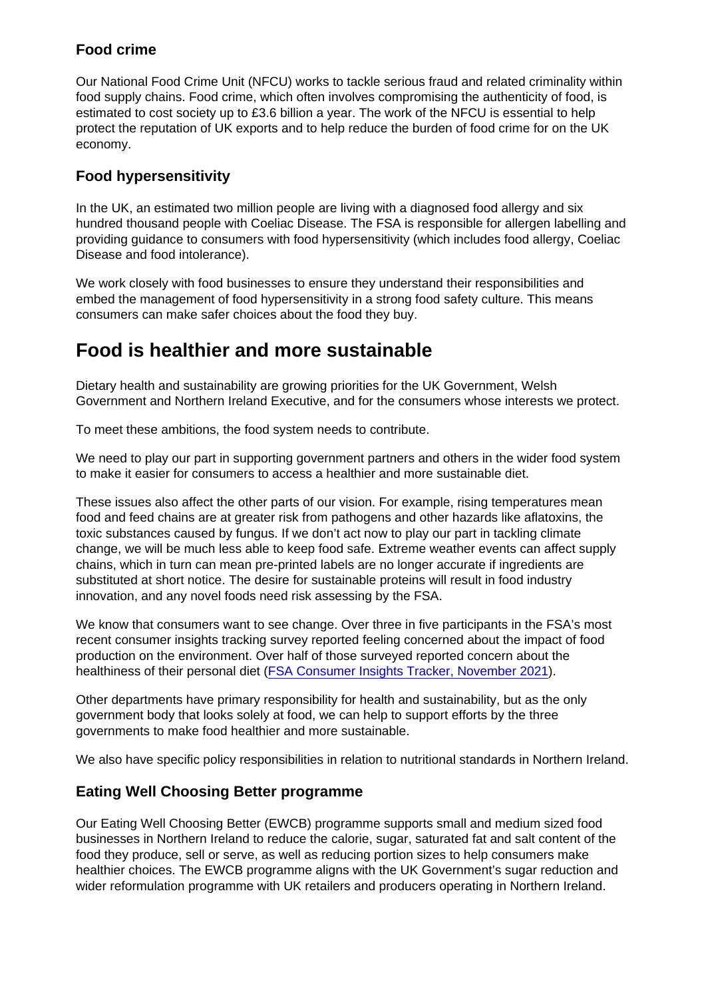### Food crime

Our National Food Crime Unit (NFCU) works to tackle serious fraud and related criminality within food supply chains. Food crime, which often involves compromising the authenticity of food, is estimated to cost society up to £3.6 billion a year. The work of the NFCU is essential to help protect the reputation of UK exports and to help reduce the burden of food crime for on the UK economy.

### Food hypersensitivity

In the UK, an estimated two million people are living with a diagnosed food allergy and six hundred thousand people with Coeliac Disease. The FSA is responsible for allergen labelling and providing guidance to consumers with food hypersensitivity (which includes food allergy, Coeliac Disease and food intolerance).

We work closely with food businesses to ensure they understand their responsibilities and embed the management of food hypersensitivity in a strong food safety culture. This means consumers can make safer choices about the food they buy.

# Food is healthier and more sustainable

Dietary health and sustainability are growing priorities for the UK Government, Welsh Government and Northern Ireland Executive, and for the consumers whose interests we protect.

To meet these ambitions, the food system needs to contribute.

We need to play our part in supporting government partners and others in the wider food system to make it easier for consumers to access a healthier and more sustainable diet.

These issues also affect the other parts of our vision. For example, rising temperatures mean food and feed chains are at greater risk from pathogens and other hazards like aflatoxins, the toxic substances caused by fungus. If we don't act now to play our part in tackling climate change, we will be much less able to keep food safe. Extreme weather events can affect supply chains, which in turn can mean pre-printed labels are no longer accurate if ingredients are substituted at short notice. The desire for sustainable proteins will result in food industry innovation, and any novel foods need risk assessing by the FSA.

We know that consumers want to see change. Over three in five participants in the FSA's most recent consumer insights tracking survey reported feeling concerned about the impact of food production on the environment. Over half of those surveyed reported concern about the healthiness of their personal diet [\(FSA Consumer Insights Tracker, November 2021\)](https://www.food.gov.uk/research/research-projects/consumer-insights-tracker).

Other departments have primary responsibility for health and sustainability, but as the only government body that looks solely at food, we can help to support efforts by the three governments to make food healthier and more sustainable.

We also have specific policy responsibilities in relation to nutritional standards in Northern Ireland.

### Eating Well Choosing Better programme

Our Eating Well Choosing Better (EWCB) programme supports small and medium sized food businesses in Northern Ireland to reduce the calorie, sugar, saturated fat and salt content of the food they produce, sell or serve, as well as reducing portion sizes to help consumers make healthier choices. The EWCB programme aligns with the UK Government's sugar reduction and wider reformulation programme with UK retailers and producers operating in Northern Ireland.